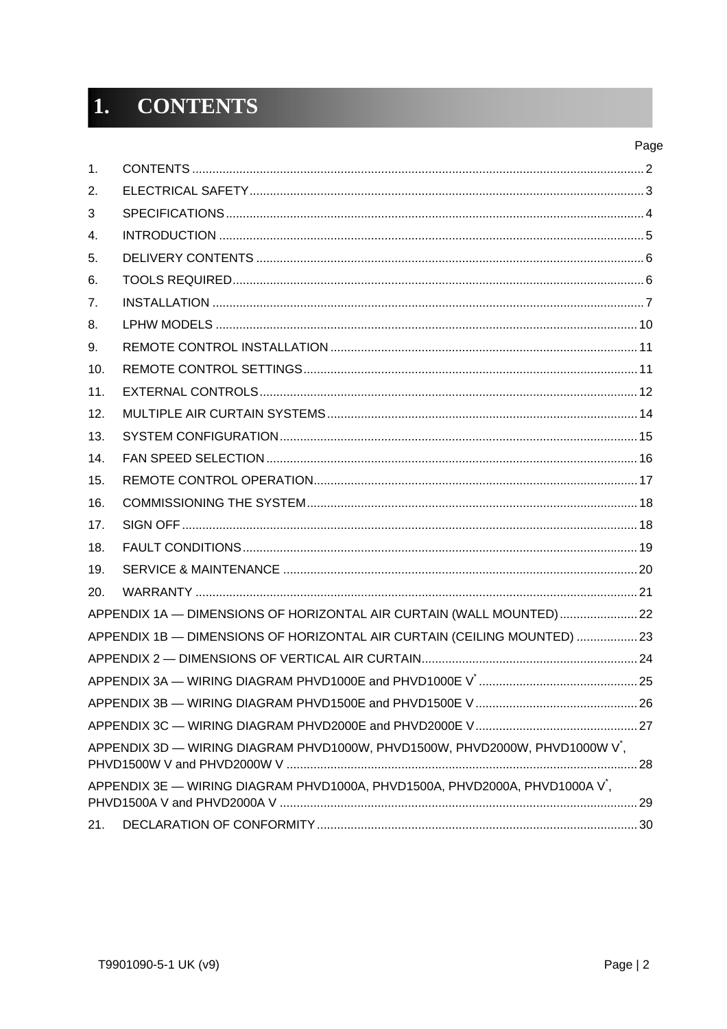#### **CONTENTS**  $1.$

| 1.  |                                                                                          |    |
|-----|------------------------------------------------------------------------------------------|----|
| 2.  |                                                                                          |    |
| 3   |                                                                                          |    |
| 4.  |                                                                                          |    |
| 5.  |                                                                                          |    |
| 6.  |                                                                                          |    |
| 7.  |                                                                                          |    |
| 8.  |                                                                                          |    |
| 9.  |                                                                                          |    |
| 10. |                                                                                          |    |
| 11. |                                                                                          |    |
| 12. |                                                                                          |    |
| 13. |                                                                                          |    |
| 14. |                                                                                          |    |
| 15. |                                                                                          |    |
| 16. |                                                                                          |    |
| 17. |                                                                                          |    |
| 18. |                                                                                          |    |
| 19. |                                                                                          |    |
| 20. |                                                                                          |    |
|     | APPENDIX 1A - DIMENSIONS OF HORIZONTAL AIR CURTAIN (WALL MOUNTED)  22                    |    |
|     | APPENDIX 1B - DIMENSIONS OF HORIZONTAL AIR CURTAIN (CEILING MOUNTED)  23                 |    |
|     |                                                                                          |    |
|     |                                                                                          |    |
|     |                                                                                          |    |
|     |                                                                                          |    |
|     | APPENDIX 3D - WIRING DIAGRAM PHVD1000W, PHVD1500W, PHVD2000W, PHVD1000W V <sup>*</sup> , |    |
|     | APPENDIX 3E - WIRING DIAGRAM PHVD1000A, PHVD1500A, PHVD2000A, PHVD1000A V',              | 29 |
| 21. |                                                                                          |    |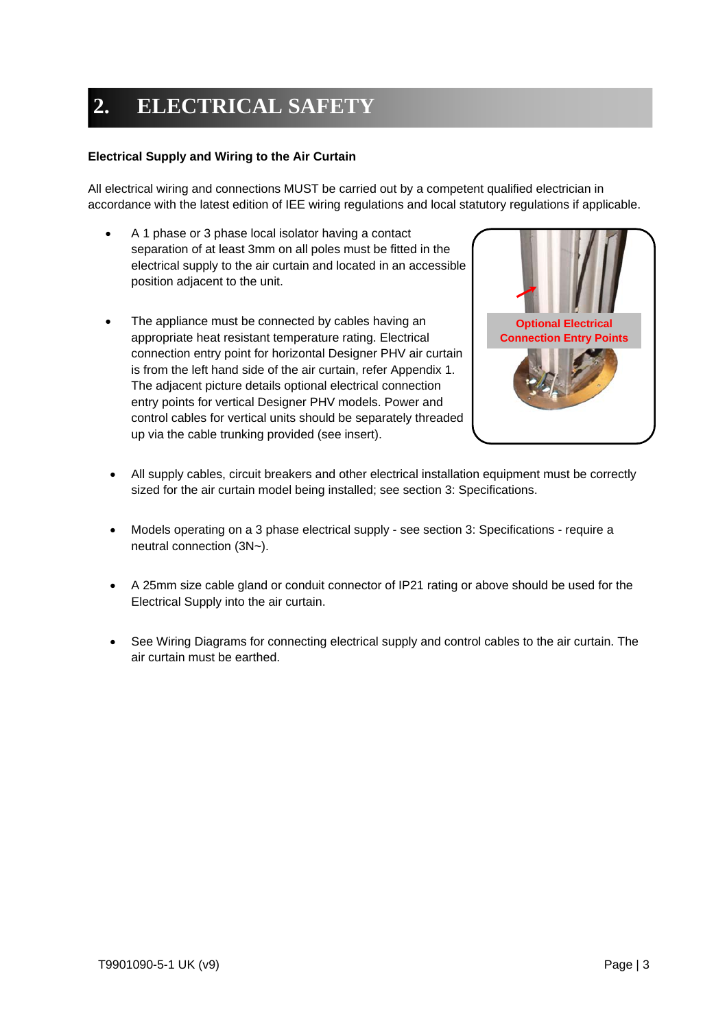# **2. ELECTRICAL SAFETY**

#### **Electrical Supply and Wiring to the Air Curtain**

All electrical wiring and connections MUST be carried out by a competent qualified electrician in accordance with the latest edition of IEE wiring regulations and local statutory regulations if applicable.

- A 1 phase or 3 phase local isolator having a contact separation of at least 3mm on all poles must be fitted in the electrical supply to the air curtain and located in an accessible position adjacent to the unit.
- The appliance must be connected by cables having an appropriate heat resistant temperature rating. Electrical connection entry point for horizontal Designer PHV air curtain is from the left hand side of the air curtain, refer Appendix 1. The adjacent picture details optional electrical connection entry points for vertical Designer PHV models. Power and control cables for vertical units should be separately threaded up via the cable trunking provided (see insert).



- All supply cables, circuit breakers and other electrical installation equipment must be correctly sized for the air curtain model being installed; see section 3: Specifications.
- Models operating on a 3 phase electrical supply see section 3: Specifications require a neutral connection (3N~).
- A 25mm size cable gland or conduit connector of IP21 rating or above should be used for the Electrical Supply into the air curtain.
- See Wiring Diagrams for connecting electrical supply and control cables to the air curtain. The air curtain must be earthed.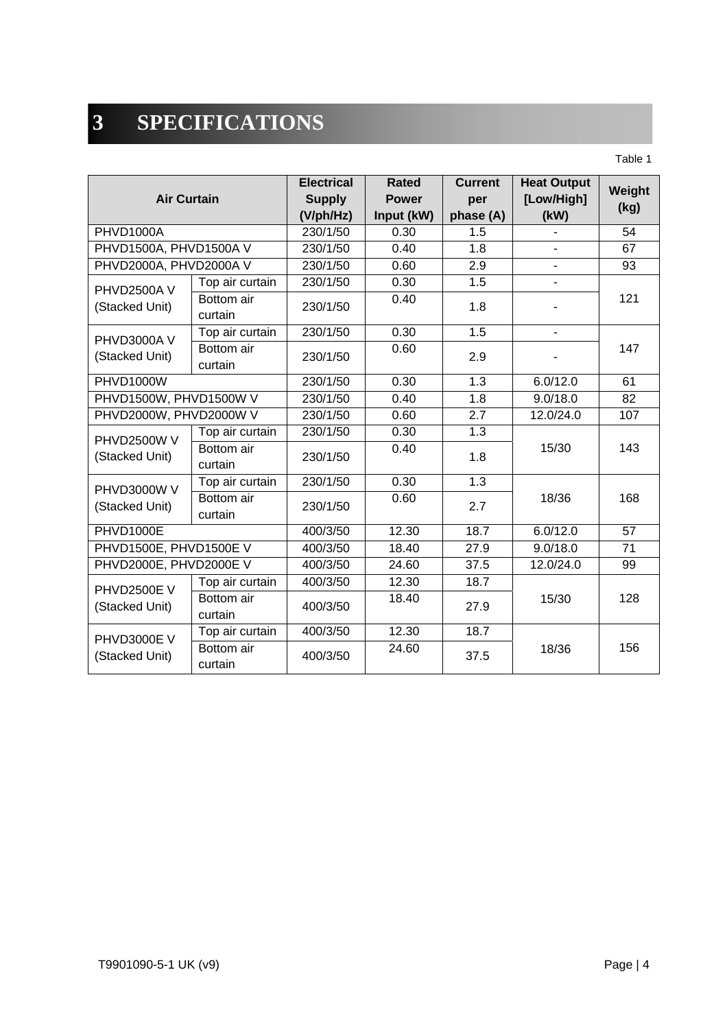# **3 SPECIFICATIONS**

Table 1

| <b>Air Curtain</b>     |                       | <b>Electrical</b><br><b>Supply</b><br>(V/ph/Hz) | Rated<br><b>Power</b><br>Input (kW) | <b>Current</b><br>per<br>phase (A) | <b>Heat Output</b><br>[Low/High]<br>(kW) | Weight<br>(kg) |  |
|------------------------|-----------------------|-------------------------------------------------|-------------------------------------|------------------------------------|------------------------------------------|----------------|--|
| PHVD1000A              |                       | 230/1/50                                        | 0.30                                | 1.5                                |                                          | 54             |  |
| PHVD1500A, PHVD1500A V |                       | 230/1/50                                        | 0.40                                | 1.8                                |                                          | 67             |  |
| PHVD2000A, PHVD2000A V |                       | 230/1/50                                        | 0.60                                | $\overline{2.9}$                   |                                          | 93             |  |
| <b>PHVD2500AV</b>      | Top air curtain       | 230/1/50                                        | 0.30                                | 1.5                                |                                          |                |  |
| (Stacked Unit)         | Bottom air<br>curtain | 230/1/50                                        | 0.40                                | 1.8                                |                                          | 121            |  |
| PHVD3000A V            | Top air curtain       | 230/1/50                                        | 0.30                                | $\overline{1.5}$                   | ÷.                                       |                |  |
| (Stacked Unit)         | Bottom air<br>curtain | 230/1/50                                        | 0.60                                | 2.9                                |                                          | 147            |  |
| <b>PHVD1000W</b>       |                       | 230/1/50                                        | 0.30                                | 1.3                                | 6.0/12.0                                 | 61             |  |
| PHVD1500W, PHVD1500W V |                       | 230/1/50                                        | 0.40                                | 1.8                                | 9.0/18.0                                 | 82             |  |
| PHVD2000W, PHVD2000W V |                       | 230/1/50                                        | 0.60                                | 2.7                                | 12.0/24.0                                | 107            |  |
| <b>PHVD2500W V</b>     | Top air curtain       | 230/1/50                                        | 0.30                                | 1.3                                |                                          |                |  |
| (Stacked Unit)         | Bottom air<br>curtain | 230/1/50                                        | 0.40                                | 1.8                                | 15/30                                    | 143            |  |
| PHVD3000W V            | Top air curtain       | 230/1/50                                        | 0.30                                | 1.3                                |                                          |                |  |
| (Stacked Unit)         | Bottom air<br>curtain | 230/1/50                                        | 0.60                                | 2.7                                | 18/36                                    | 168            |  |
| <b>PHVD1000E</b>       |                       | 400/3/50                                        | 12.30                               | 18.7                               | 6.0/12.0                                 | 57             |  |
| PHVD1500E, PHVD1500E V |                       | 400/3/50                                        | 18.40                               | 27.9                               | 9.0/18.0                                 | 71             |  |
| PHVD2000E, PHVD2000E V |                       | 400/3/50                                        | 24.60                               | 37.5                               | 12.0/24.0                                | 99             |  |
| <b>PHVD2500E V</b>     | Top air curtain       | 400/3/50                                        | 12.30                               | 18.7                               |                                          |                |  |
| (Stacked Unit)         | Bottom air<br>curtain | 400/3/50                                        | 18.40                               | 27.9                               | 15/30                                    | 128            |  |
| PHVD3000E V            | Top air curtain       | 400/3/50                                        | 12.30                               | 18.7                               |                                          |                |  |
| (Stacked Unit)         | Bottom air<br>curtain | 400/3/50                                        | 24.60                               | 37.5                               | 18/36                                    | 156            |  |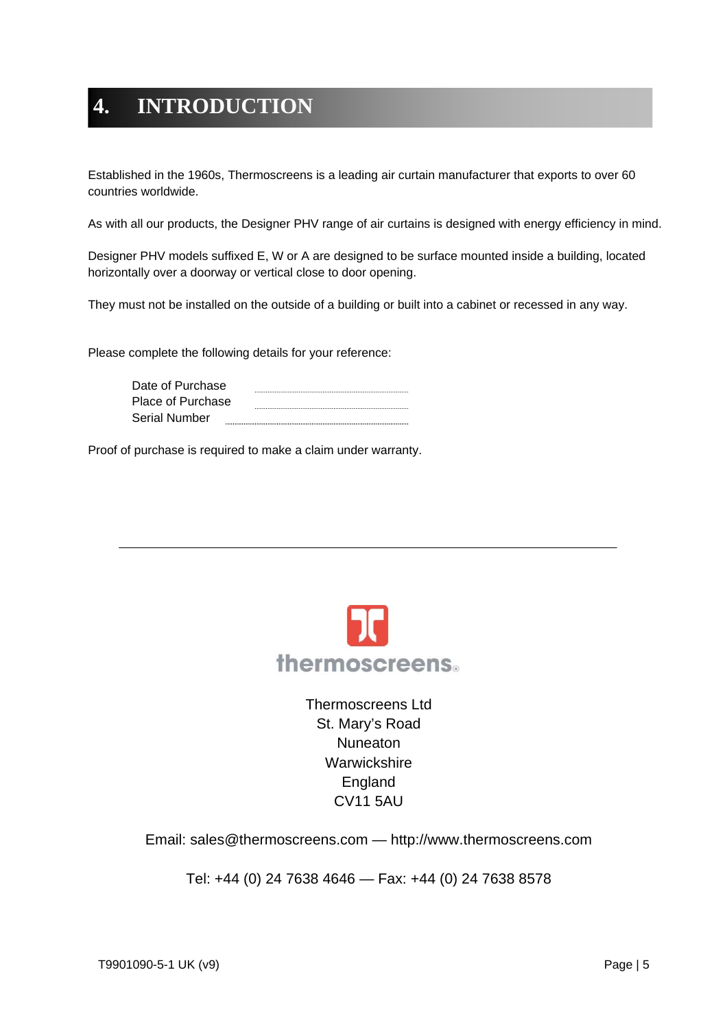# **4. INTRODUCTION**

Established in the 1960s, Thermoscreens is a leading air curtain manufacturer that exports to over 60 countries worldwide.

As with all our products, the Designer PHV range of air curtains is designed with energy efficiency in mind.

Designer PHV models suffixed E, W or A are designed to be surface mounted inside a building, located horizontally over a doorway or vertical close to door opening.

They must not be installed on the outside of a building or built into a cabinet or recessed in any way.

Please complete the following details for your reference:

| Date of Purchase     |  |
|----------------------|--|
| Place of Purchase    |  |
| <b>Serial Number</b> |  |

Proof of purchase is required to make a claim under warranty.



Thermoscreens Ltd St. Mary's Road **Nuneaton Warwickshire** England CV11 5AU

Email: sales@thermoscreens.com — http://www.thermoscreens.com

Tel: +44 (0) 24 7638 4646 — Fax: +44 (0) 24 7638 8578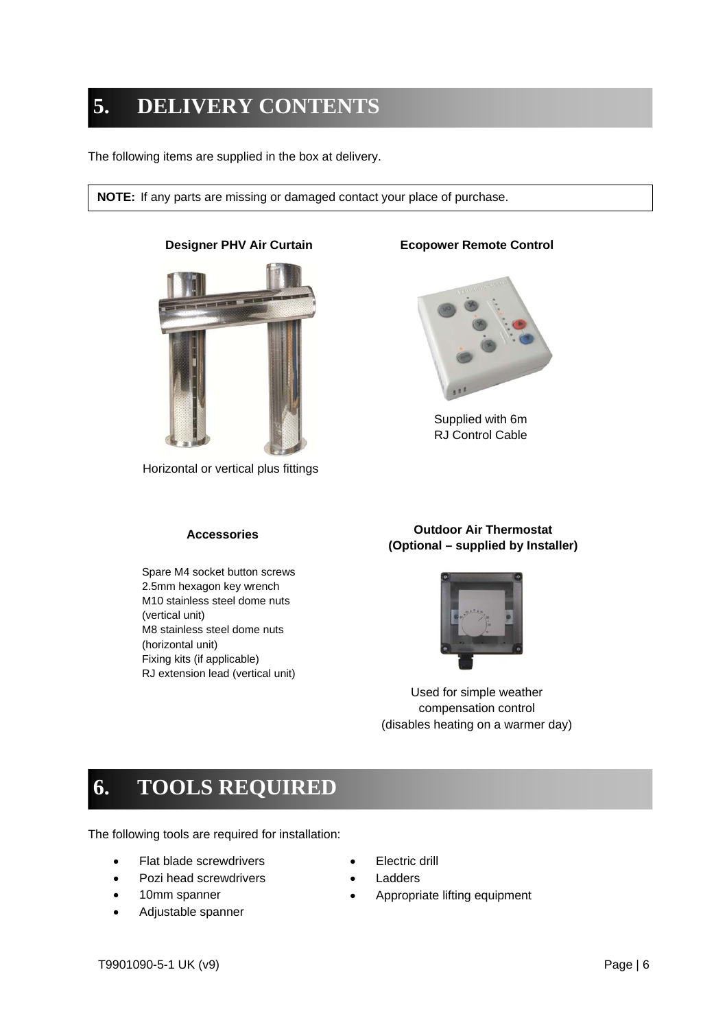# **5. DELIVERY CONTENTS**

The following items are supplied in the box at delivery.

**NOTE:** If any parts are missing or damaged contact your place of purchase.



Horizontal or vertical plus fittings

#### **Accessories**

Spare M4 socket button screws 2.5mm hexagon key wrench M10 stainless steel dome nuts (vertical unit) M8 stainless steel dome nuts (horizontal unit) Fixing kits (if applicable) RJ extension lead (vertical unit)

#### **Designer PHV Air Curtain <b>Ecopower Remote Control**



Supplied with 6m RJ Control Cable

#### **Outdoor Air Thermostat (Optional – supplied by Installer)**



Used for simple weather compensation control (disables heating on a warmer day)

## **6. TOOLS REQUIRED**

The following tools are required for installation:

- Flat blade screwdrivers
- Pozi head screwdrivers
- 10mm spanner
- Adjustable spanner
- Electric drill
- Ladders
- Appropriate lifting equipment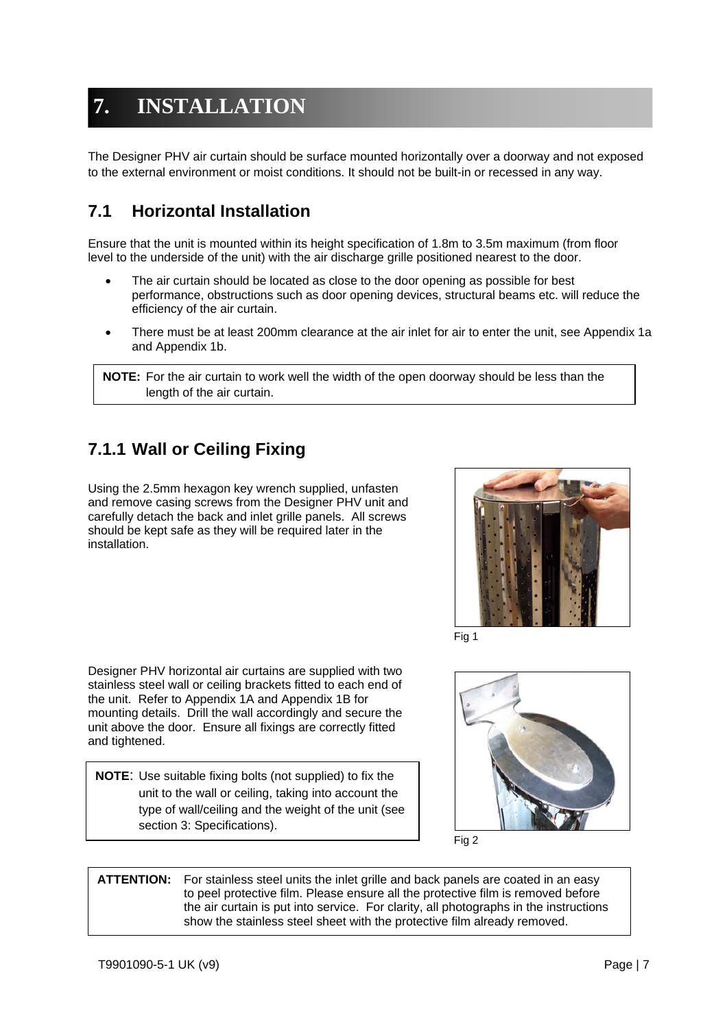# **7. INSTALLATION**

The Designer PHV air curtain should be surface mounted horizontally over a doorway and not exposed to the external environment or moist conditions. It should not be built-in or recessed in any way.

### **7.1 Horizontal Installation**

Ensure that the unit is mounted within its height specification of 1.8m to 3.5m maximum (from floor level to the underside of the unit) with the air discharge grille positioned nearest to the door.

- The air curtain should be located as close to the door opening as possible for best performance, obstructions such as door opening devices, structural beams etc. will reduce the efficiency of the air curtain.
- There must be at least 200mm clearance at the air inlet for air to enter the unit, see Appendix 1a and Appendix 1b.

**NOTE:** For the air curtain to work well the width of the open doorway should be less than the length of the air curtain.

### **7.1.1 Wall or Ceiling Fixing**

Using the 2.5mm hexagon key wrench supplied, unfasten and remove casing screws from the Designer PHV unit and carefully detach the back and inlet grille panels. All screws should be kept safe as they will be required later in the installation.



Fig 1

Designer PHV horizontal air curtains are supplied with two stainless steel wall or ceiling brackets fitted to each end of the unit. Refer to Appendix 1A and Appendix 1B for mounting details. Drill the wall accordingly and secure the unit above the door. Ensure all fixings are correctly fitted and tightened.

**NOTE**: Use suitable fixing bolts (not supplied) to fix the unit to the wall or ceiling, taking into account the type of wall/ceiling and the weight of the unit (see section 3: Specifications).





**ATTENTION:** For stainless steel units the inlet grille and back panels are coated in an easy to peel protective film. Please ensure all the protective film is removed before the air curtain is put into service. For clarity, all photographs in the instructions show the stainless steel sheet with the protective film already removed.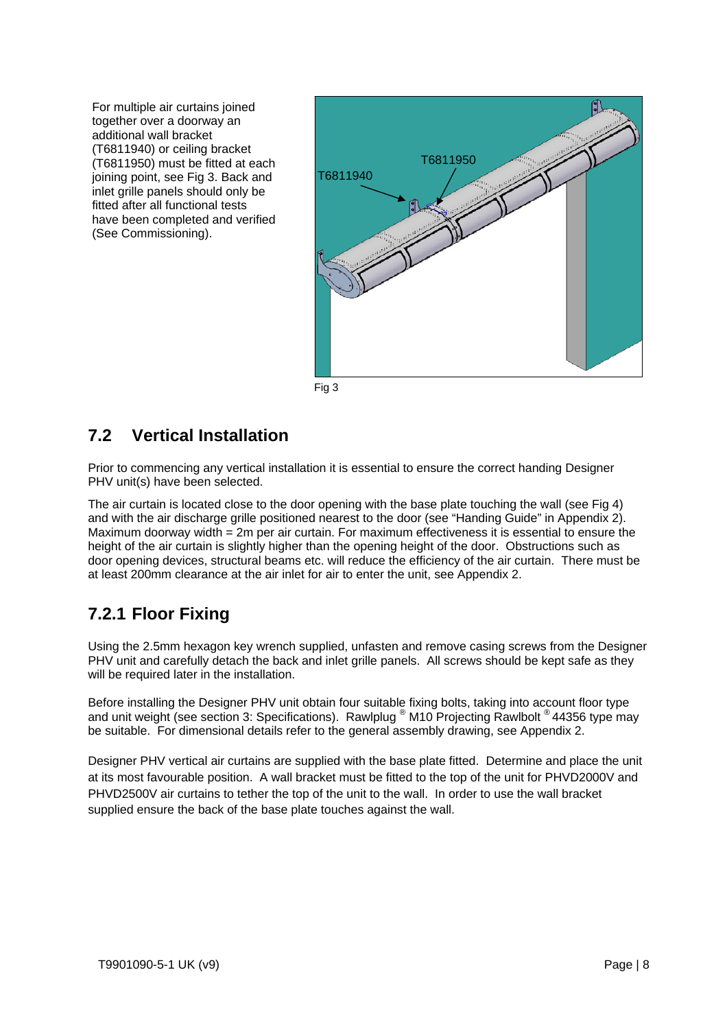For multiple air curtains joined together over a doorway an additional wall bracket (T6811940) or ceiling bracket (T6811950) must be fitted at each joining point, see Fig 3. Back and inlet grille panels should only be fitted after all functional tests have been completed and verified (See Commissioning).



Fig 3

### **7.2 Vertical Installation**

Prior to commencing any vertical installation it is essential to ensure the correct handing Designer PHV unit(s) have been selected.

The air curtain is located close to the door opening with the base plate touching the wall (see Fig 4) and with the air discharge grille positioned nearest to the door (see "Handing Guide" in Appendix 2). Maximum doorway width = 2m per air curtain. For maximum effectiveness it is essential to ensure the height of the air curtain is slightly higher than the opening height of the door. Obstructions such as door opening devices, structural beams etc. will reduce the efficiency of the air curtain. There must be at least 200mm clearance at the air inlet for air to enter the unit, see Appendix 2.

### **7.2.1 Floor Fixing**

Using the 2.5mm hexagon key wrench supplied, unfasten and remove casing screws from the Designer PHV unit and carefully detach the back and inlet grille panels. All screws should be kept safe as they will be required later in the installation.

Before installing the Designer PHV unit obtain four suitable fixing bolts, taking into account floor type and unit weight (see section 3: Specifications). Rawlplug ® M10 Projecting Rawlbolt ® 44356 type may be suitable. For dimensional details refer to the general assembly drawing, see Appendix 2.

Designer PHV vertical air curtains are supplied with the base plate fitted. Determine and place the unit at its most favourable position. A wall bracket must be fitted to the top of the unit for PHVD2000V and PHVD2500V air curtains to tether the top of the unit to the wall. In order to use the wall bracket supplied ensure the back of the base plate touches against the wall.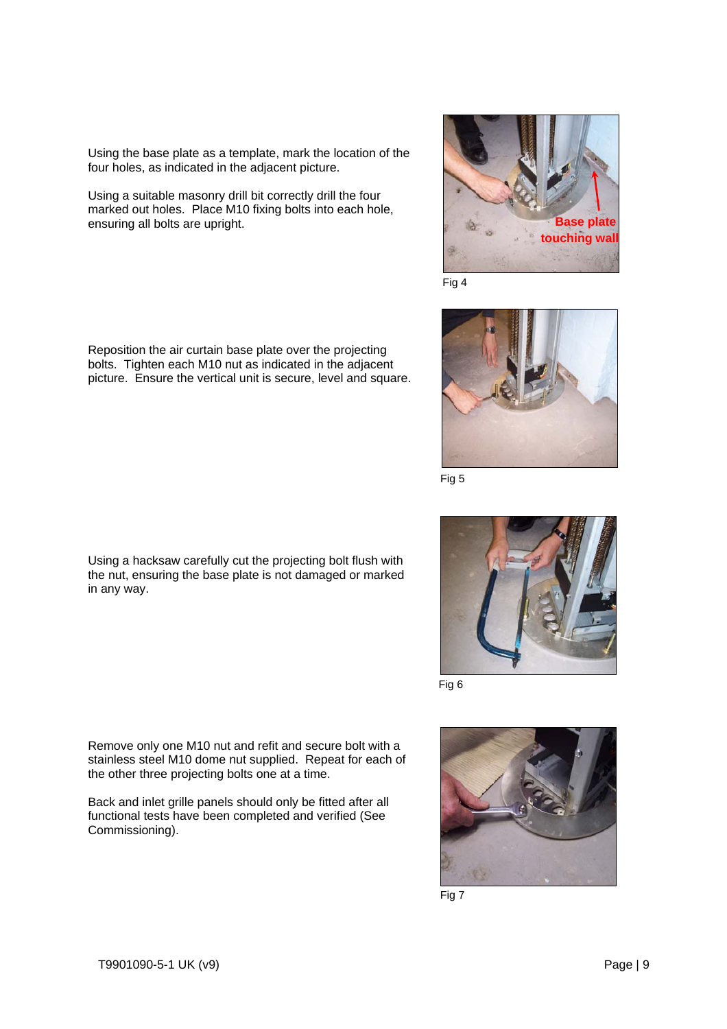Using the base plate as a template, mark the location of the four holes, as indicated in the adjacent picture.

Using a suitable masonry drill bit correctly drill the four marked out holes. Place M10 fixing bolts into each hole, ensuring all bolts are upright.



Fig 4



Fig 5



Fig 6



Fig 7

Reposition the air curtain base plate over the projecting bolts. Tighten each M10 nut as indicated in the adjacent picture. Ensure the vertical unit is secure, level and square.

Using a hacksaw carefully cut the projecting bolt flush with the nut, ensuring the base plate is not damaged or marked in any way.

Remove only one M10 nut and refit and secure bolt with a stainless steel M10 dome nut supplied. Repeat for each of the other three projecting bolts one at a time.

Back and inlet grille panels should only be fitted after all functional tests have been completed and verified (See Commissioning).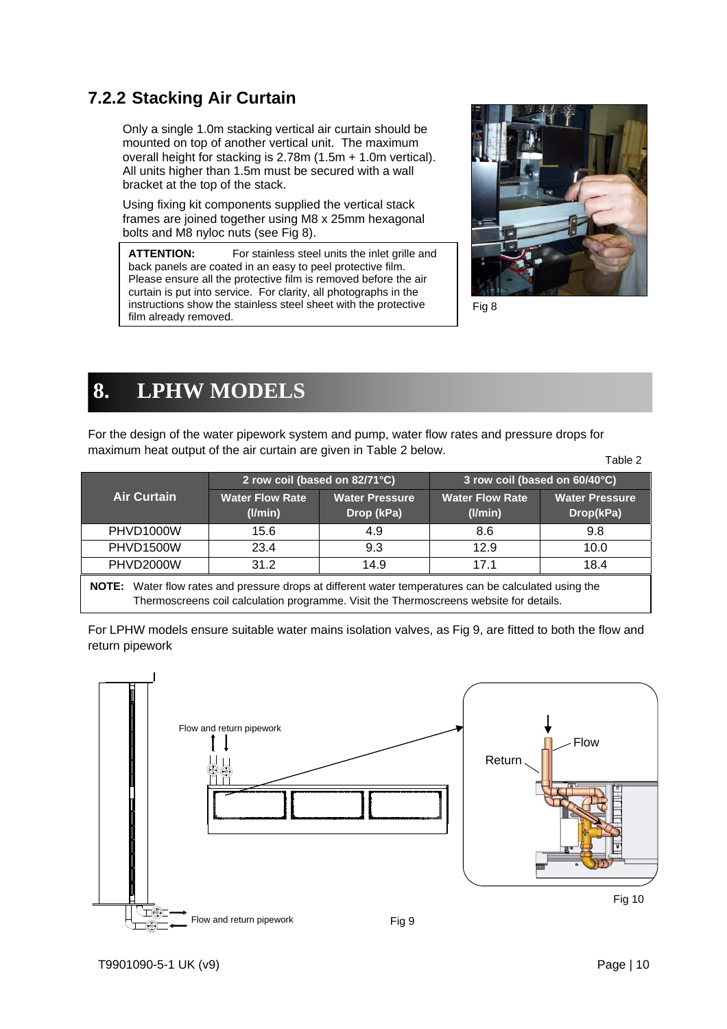### **7.2.2 Stacking Air Curtain**

Only a single 1.0m stacking vertical air curtain should be mounted on top of another vertical unit. The maximum overall height for stacking is 2.78m (1.5m + 1.0m vertical). All units higher than 1.5m must be secured with a wall bracket at the top of the stack.

Using fixing kit components supplied the vertical stack frames are joined together using M8 x 25mm hexagonal bolts and M8 nyloc nuts (see Fig 8).

**ATTENTION:** For stainless steel units the inlet grille and back panels are coated in an easy to peel protective film. Please ensure all the protective film is removed before the air curtain is put into service. For clarity, all photographs in the instructions show the stainless steel sheet with the protective film already removed.



Fig 8

# **8. LPHW MODELS**

For the design of the water pipework system and pump, water flow rates and pressure drops for maximum heat output of the air curtain are given in Table 2 below. Table 2

|                    | 2 row coil (based on 82/71°C)           |                                     |                                   | 3 row coil (based on 60/40°C)      |
|--------------------|-----------------------------------------|-------------------------------------|-----------------------------------|------------------------------------|
| <b>Air Curtain</b> | <b>Water Flow Rate</b><br>$($ l/min $)$ | <b>Water Pressure</b><br>Drop (kPa) | <b>Water Flow Rate</b><br>(1/min) | <b>Water Pressure</b><br>Drop(kPa) |
| PHVD1000W          | 15.6                                    | 4.9                                 | 8.6                               | 9.8                                |
| PHVD1500W          | 23.4                                    | 9.3                                 | 12.9                              | 10.0                               |
| PHVD2000W          | 31.2                                    | 14.9                                | 17 1                              | 18.4                               |
|                    |                                         |                                     |                                   |                                    |

**NOTE:** Water flow rates and pressure drops at different water temperatures can be calculated using the Thermoscreens coil calculation programme. Visit the Thermoscreens website for details.

For LPHW models ensure suitable water mains isolation valves, as Fig 9, are fitted to both the flow and return pipework

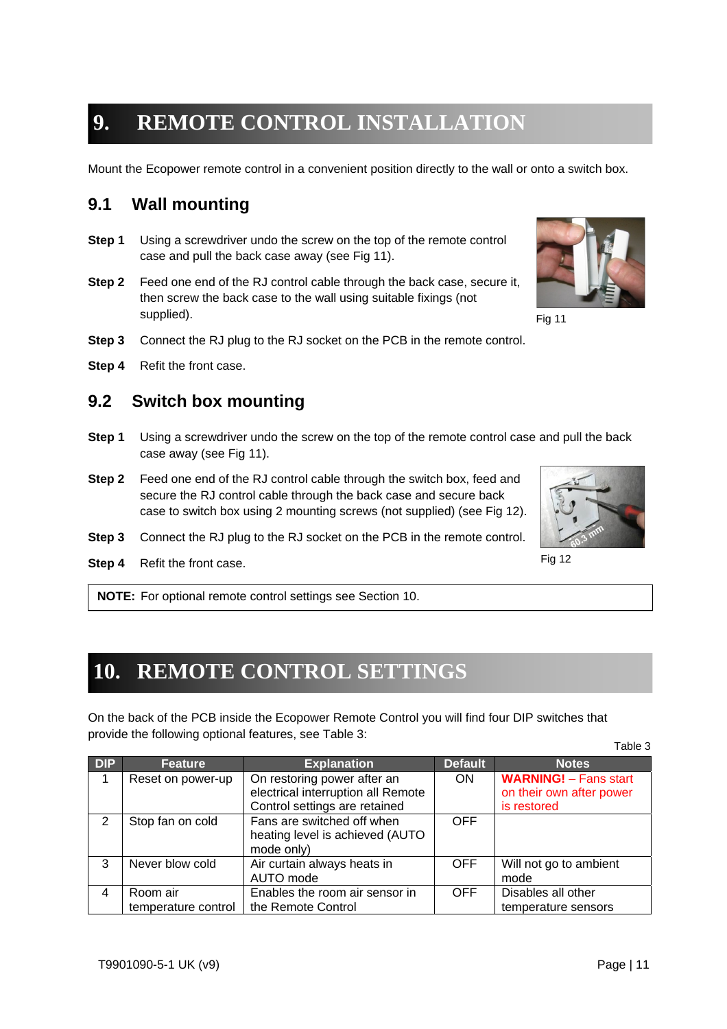## **9. REMOTE CONTROL INSTALLATION**

Mount the Ecopower remote control in a convenient position directly to the wall or onto a switch box.

### **9.1 Wall mounting**

- **Step 1** Using a screwdriver undo the screw on the top of the remote control case and pull the back case away (see Fig 11).
- **Step 2** Feed one end of the RJ control cable through the back case, secure it, then screw the back case to the wall using suitable fixings (not supplied).
- **Step 3** Connect the RJ plug to the RJ socket on the PCB in the remote control.
- **Step 4** Refit the front case.

#### **9.2 Switch box mounting**

- **Step 1** Using a screwdriver undo the screw on the top of the remote control case and pull the back case away (see Fig 11).
- **Step 2** Feed one end of the RJ control cable through the switch box, feed and secure the RJ control cable through the back case and secure back case to switch box using 2 mounting screws (not supplied) (see Fig 12).
- **Step 3** Connect the RJ plug to the RJ socket on the PCB in the remote control.
- **Step 4** Refit the front case.

**NOTE:** For optional remote control settings see Section 10.

### **10. REMOTE CONTROL SETTINGS**

On the back of the PCB inside the Ecopower Remote Control you will find four DIP switches that provide the following optional features, see Table 3:

| <b>DIP</b>    | <b>Feature</b>                  | <b>Explanation</b>                                                                                 | <b>Default</b> | <b>Notes</b>                                                            |
|---------------|---------------------------------|----------------------------------------------------------------------------------------------------|----------------|-------------------------------------------------------------------------|
|               | Reset on power-up               | On restoring power after an<br>electrical interruption all Remote<br>Control settings are retained | <b>ON</b>      | <b>WARNING!</b> - Fans start<br>on their own after power<br>is restored |
| $\mathcal{P}$ | Stop fan on cold                | Fans are switched off when<br>heating level is achieved (AUTO<br>mode only)                        | <b>OFF</b>     |                                                                         |
| 3             | Never blow cold                 | Air curtain always heats in<br>AUTO mode                                                           | <b>OFF</b>     | Will not go to ambient<br>mode                                          |
| 4             | Room air<br>temperature control | Enables the room air sensor in<br>the Remote Control                                               | <b>OFF</b>     | Disables all other<br>temperature sensors                               |



Fig 11



Fig 12

Table 3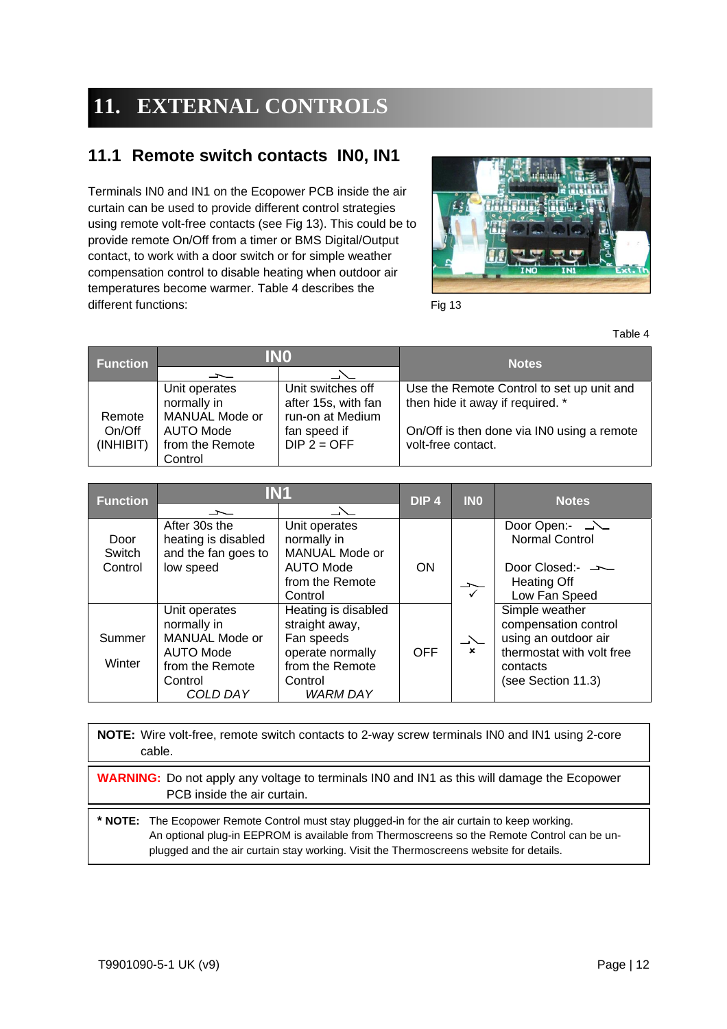# **11. EXTERNAL CONTROLS**

### **11.1 Remote switch contacts IN0, IN1**

Terminals IN0 and IN1 on the Ecopower PCB inside the air curtain can be used to provide different control strategies using remote volt-free contacts (see Fig 13). This could be to provide remote On/Off from a timer or BMS Digital/Output contact, to work with a door switch or for simple weather compensation control to disable heating when outdoor air temperatures become warmer. Table 4 describes the different functions:



Fig 13

Table 4

| <b>Function</b> |                 | INO                 | <b>Notes</b>                               |  |
|-----------------|-----------------|---------------------|--------------------------------------------|--|
|                 |                 |                     |                                            |  |
|                 | Unit operates   | Unit switches off   | Use the Remote Control to set up unit and  |  |
|                 | normally in     | after 15s, with fan | then hide it away if required. *           |  |
| Remote          | MANUAL Mode or  | run-on at Medium    |                                            |  |
| On/Off          | AUTO Mode       | fan speed if        | On/Off is then done via IN0 using a remote |  |
| (INHIBIT)       | from the Remote | $DIP$ 2 = OFF       | volt-free contact.                         |  |
|                 | Control         |                     |                                            |  |

| <b>IN1</b><br><b>Function</b> |                                                             | DIP <sub>4</sub>                                                  | <b>INO</b> | <b>Notes</b> |                                                                |
|-------------------------------|-------------------------------------------------------------|-------------------------------------------------------------------|------------|--------------|----------------------------------------------------------------|
|                               | 一                                                           | $\Delta$                                                          |            |              |                                                                |
| Door<br>Switch                | After 30s the<br>heating is disabled<br>and the fan goes to | Unit operates<br>normally in<br>MANUAL Mode or                    |            |              | <b>Normal Control</b>                                          |
| Control                       | low speed                                                   | <b>AUTO Mode</b><br>from the Remote<br>Control                    | <b>ON</b>  |              | Door Closed:- —<br><b>Heating Off</b><br>Low Fan Speed         |
| Summer                        | Unit operates<br>normally in<br><b>MANUAL Mode or</b>       | Heating is disabled<br>straight away,<br>Fan speeds               |            | $\searrow$   | Simple weather<br>compensation control<br>using an outdoor air |
| Winter                        | AUTO Mode<br>from the Remote<br>Control<br>COLD DAY         | operate normally<br>from the Remote<br>Control<br><b>WARM DAY</b> | <b>OFF</b> | $\mathbf{x}$ | thermostat with volt free<br>contacts<br>(see Section 11.3)    |

**NOTE:** Wire volt-free, remote switch contacts to 2-way screw terminals IN0 and IN1 using 2-core cable.

**WARNING:** Do not apply any voltage to terminals IN0 and IN1 as this will damage the Ecopower PCB inside the air curtain.

**\* NOTE:** The Ecopower Remote Control must stay plugged-in for the air curtain to keep working. An optional plug-in EEPROM is available from Thermoscreens so the Remote Control can be unplugged and the air curtain stay working. Visit the Thermoscreens website for details.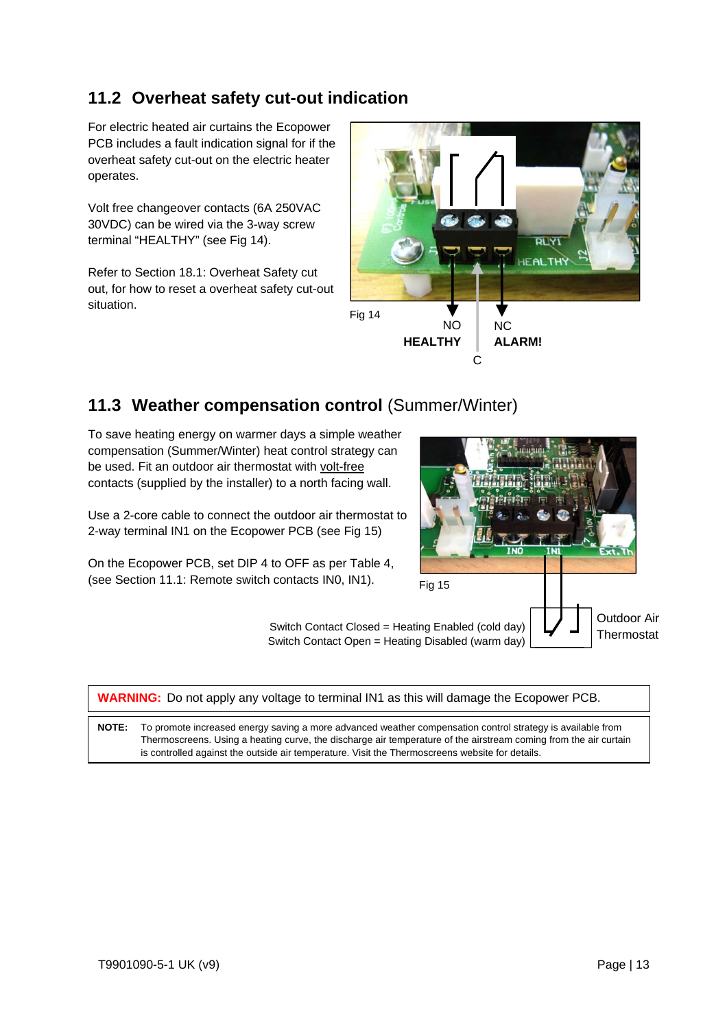### **11.2 Overheat safety cut-out indication**

For electric heated air curtains the Ecopower PCB includes a fault indication signal for if the overheat safety cut-out on the electric heater operates.

Volt free changeover contacts (6A 250VAC 30VDC) can be wired via the 3-way screw terminal "HEALTHY" (see Fig 14).

Refer to Section 18.1: Overheat Safety cut out, for how to reset a overheat safety cut-out situation.



### 11.3 Weather compensation control (Summer/Winter)

To save heating energy on warmer days a simple weather compensation (Summer/Winter) heat control strategy can be used. Fit an outdoor air thermostat with volt-free contacts (supplied by the installer) to a north facing wall.

Use a 2-core cable to connect the outdoor air thermostat to 2-way terminal IN1 on the Ecopower PCB (see Fig 15)

On the Ecopower PCB, set DIP 4 to OFF as per Table 4, (see Section 11.1: Remote switch contacts IN0, IN1).



|              | <b>WARNING:</b> Do not apply any voltage to terminal IN1 as this will damage the Ecopower PCB.                                                                                                                                                                                                                                    |  |  |  |  |  |  |
|--------------|-----------------------------------------------------------------------------------------------------------------------------------------------------------------------------------------------------------------------------------------------------------------------------------------------------------------------------------|--|--|--|--|--|--|
| <b>NOTE:</b> | To promote increased energy saving a more advanced weather compensation control strategy is available from<br>Thermoscreens. Using a heating curve, the discharge air temperature of the airstream coming from the air curtain<br>is controlled against the outside air temperature. Visit the Thermoscreens website for details. |  |  |  |  |  |  |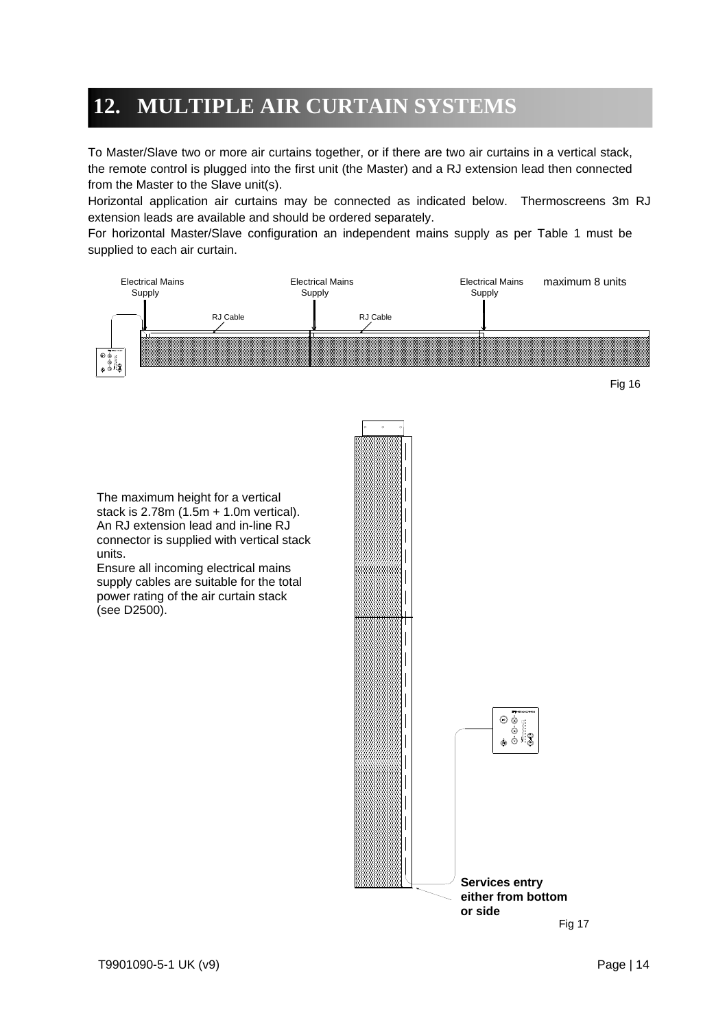## **12. MULTIPLE AIR CURTAIN SYSTEMS**

To Master/Slave two or more air curtains together, or if there are two air curtains in a vertical stack, the remote control is plugged into the first unit (the Master) and a RJ extension lead then connected from the Master to the Slave unit(s).

Horizontal application air curtains may be connected as indicated below. Thermoscreens 3m RJ extension leads are available and should be ordered separately.

For horizontal Master/Slave configuration an independent mains supply as per Table 1 must be supplied to each air curtain.

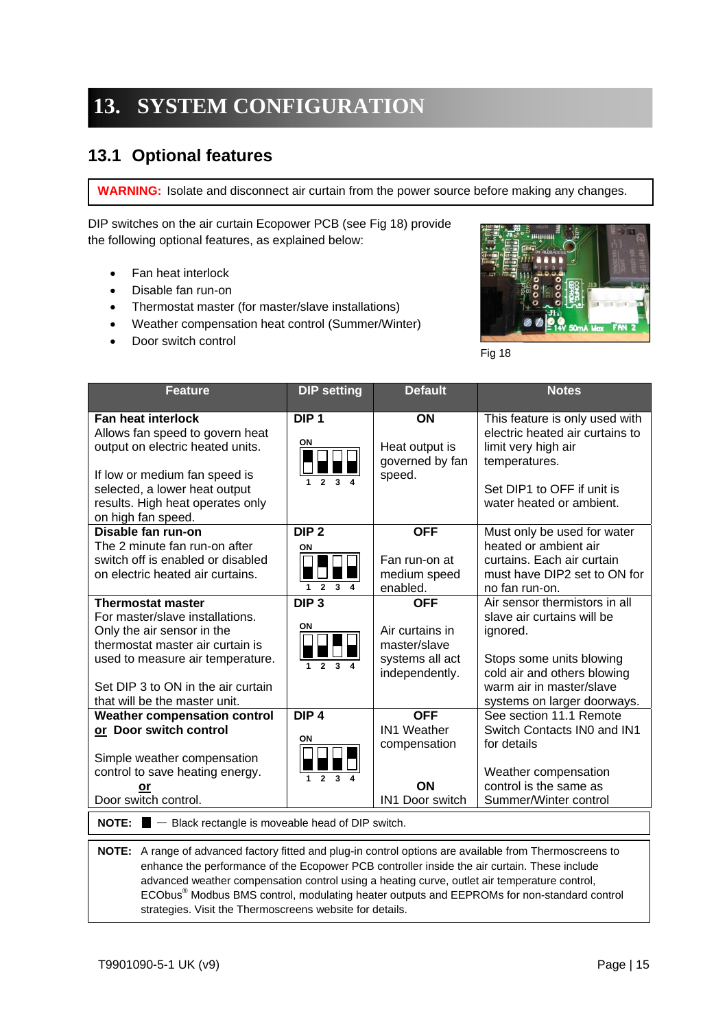# **13. SYSTEM CONFIGURATION**

### **13.1 Optional features**

**WARNING:** Isolate and disconnect air curtain from the power source before making any changes.

DIP switches on the air curtain Ecopower PCB (see Fig 18) provide the following optional features, as explained below:

- Fan heat interlock
- Disable fan run-on
- Thermostat master (for master/slave installations)
- Weather compensation heat control (Summer/Winter)
- Door switch control



Fig 18

| <b>Feature</b>                                                                                                                                                                                                                                                                                                                                                          | <b>DIP setting</b>                                                       | <b>Default</b>                                                                     | <b>Notes</b>                                                                                                                                                                                  |
|-------------------------------------------------------------------------------------------------------------------------------------------------------------------------------------------------------------------------------------------------------------------------------------------------------------------------------------------------------------------------|--------------------------------------------------------------------------|------------------------------------------------------------------------------------|-----------------------------------------------------------------------------------------------------------------------------------------------------------------------------------------------|
| <b>Fan heat interlock</b><br>Allows fan speed to govern heat<br>output on electric heated units.<br>If low or medium fan speed is<br>selected, a lower heat output<br>results. High heat operates only<br>on high fan speed.                                                                                                                                            | DIP <sub>1</sub><br>ON                                                   | ON<br>Heat output is<br>governed by fan<br>speed.                                  | This feature is only used with<br>electric heated air curtains to<br>limit very high air<br>temperatures.<br>Set DIP1 to OFF if unit is<br>water heated or ambient.                           |
| Disable fan run-on<br>The 2 minute fan run-on after<br>switch off is enabled or disabled<br>on electric heated air curtains.                                                                                                                                                                                                                                            | DIP <sub>2</sub><br>ON<br>$\overline{2}$<br>$\mathbf{R}$<br>$\mathbf{1}$ | <b>OFF</b><br>Fan run-on at<br>medium speed<br>enabled.                            | Must only be used for water<br>heated or ambient air<br>curtains. Each air curtain<br>must have DIP2 set to ON for<br>no fan run-on.                                                          |
| <b>Thermostat master</b><br>For master/slave installations.<br>Only the air sensor in the<br>thermostat master air curtain is<br>used to measure air temperature.<br>Set DIP 3 to ON in the air curtain<br>that will be the master unit.                                                                                                                                | DIP <sub>3</sub><br>ON                                                   | <b>OFF</b><br>Air curtains in<br>master/slave<br>systems all act<br>independently. | Air sensor thermistors in all<br>slave air curtains will be<br>ignored.<br>Stops some units blowing<br>cold air and others blowing<br>warm air in master/slave<br>systems on larger doorways. |
| <b>Weather compensation control</b><br>or Door switch control<br>Simple weather compensation<br>control to save heating energy.<br>or<br>Door switch control.                                                                                                                                                                                                           | DIP <sub>4</sub><br>ON<br>3<br>1<br>$\mathbf{2}$                         | <b>OFF</b><br><b>IN1 Weather</b><br>compensation<br>ON<br>IN1 Door switch          | See section 11.1 Remote<br>Switch Contacts IN0 and IN1<br>for details<br>Weather compensation<br>control is the same as<br>Summer/Winter control                                              |
| <b>NOTE:</b> $\blacksquare$ $\blacksquare$ Black rectangle is moveable head of DIP switch.                                                                                                                                                                                                                                                                              |                                                                          |                                                                                    |                                                                                                                                                                                               |
| A range of advanced factory fitted and plug-in control options are available from Thermoscreens to<br>NOTE:<br>enhance the performance of the Ecopower PCB controller inside the air curtain. These include<br>advanced weather compensation control using a heating curve, outlet air temperature control,<br>strategies. Visit the Thermoscreens website for details. |                                                                          |                                                                                    | ECObus <sup>®</sup> Modbus BMS control, modulating heater outputs and EEPROMs for non-standard control                                                                                        |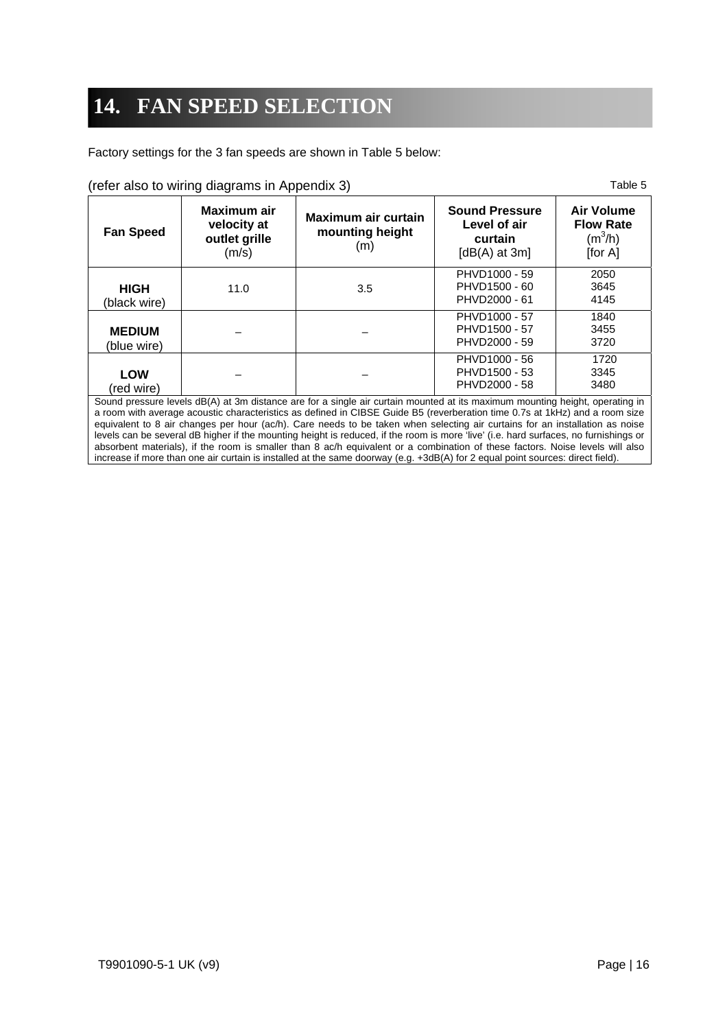# **14. FAN SPEED SELECTION**

Factory settings for the 3 fan speeds are shown in Table 5 below:

|  |  | (refer also to wiring diagrams in Appendix 3) |  |  |
|--|--|-----------------------------------------------|--|--|
|  |  |                                               |  |  |

Table 5

| <b>Fan Speed</b>                                     | Maximum air<br>velocity at<br>outlet grille<br>(m/s) | Maximum air curtain<br>mounting height<br>(m)                  | <b>Sound Pressure</b><br>Level of air<br>curtain<br>[ $dB(A)$ at 3m] | <b>Air Volume</b><br><b>Flow Rate</b><br>$(m^3/h)$<br>[for $AI$ ] |
|------------------------------------------------------|------------------------------------------------------|----------------------------------------------------------------|----------------------------------------------------------------------|-------------------------------------------------------------------|
| <b>HIGH</b><br>(black wire)                          | 11.0                                                 | 3.5                                                            | PHVD1000 - 59<br>PHVD1500 - 60<br>PHVD2000 - 61                      | 2050<br>3645<br>4145                                              |
| <b>MEDIUM</b><br>(blue wire)                         |                                                      |                                                                | PHVD1000 - 57<br>PHVD1500 - 57<br>PHVD2000 - 59                      | 1840<br>3455<br>3720                                              |
| <b>LOW</b><br>(red wire)<br>$\overline{\phantom{0}}$ | $\sim$ $\sim$<br>$\cdots$<br>$\sim$ $\sim$           | $\cdot$ $\cdot$ $\cdot$ $\cdot$<br>$\sim$ $\sim$<br>$\epsilon$ | PHVD1000 - 56<br>PHVD1500 - 53<br>PHVD2000 - 58<br>.                 | 1720<br>3345<br>3480<br>.                                         |

Sound pressure levels dB(A) at 3m distance are for a single air curtain mounted at its maximum mounting height, operating in a room with average acoustic characteristics as defined in CIBSE Guide B5 (reverberation time 0.7s at 1kHz) and a room size equivalent to 8 air changes per hour (ac/h). Care needs to be taken when selecting air curtains for an installation as noise levels can be several dB higher if the mounting height is reduced, if the room is more 'live' (i.e. hard surfaces, no furnishings or absorbent materials), if the room is smaller than 8 ac/h equivalent or a combination of these factors. Noise levels will also increase if more than one air curtain is installed at the same doorway (e.g. +3dB(A) for 2 equal point sources: direct field).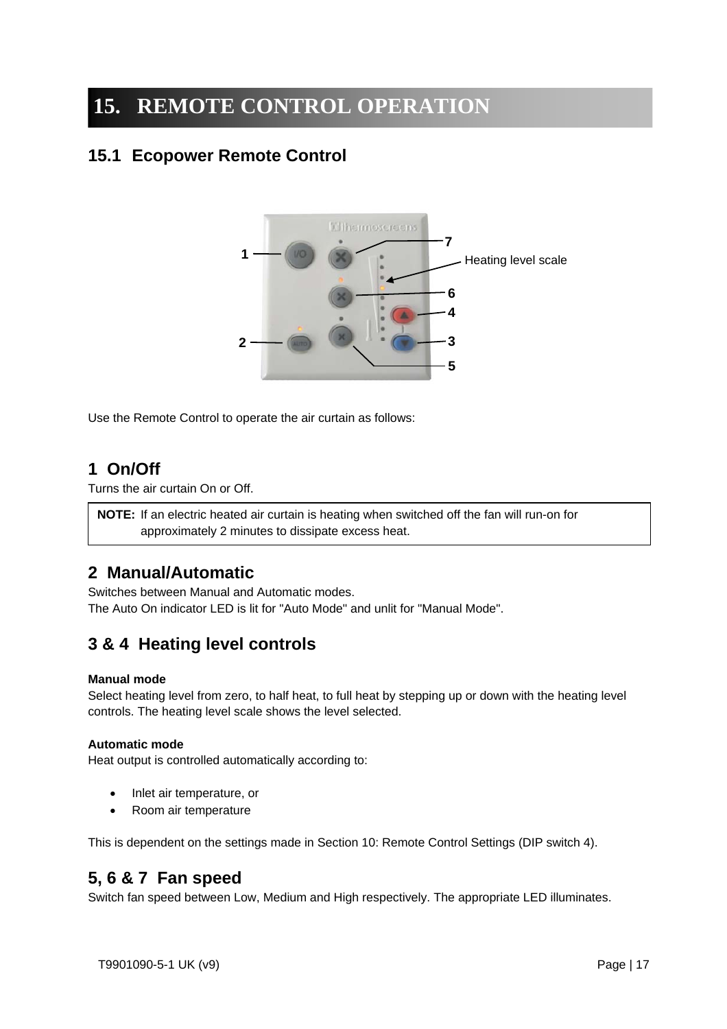## **15. REMOTE CONTROL OPERATION**

### **15.1 Ecopower Remote Control**



Use the Remote Control to operate the air curtain as follows:

### **1 On/Off**

Turns the air curtain On or Off.

**NOTE:** If an electric heated air curtain is heating when switched off the fan will run-on for approximately 2 minutes to dissipate excess heat.

### **2 Manual/Automatic**

Switches between Manual and Automatic modes. The Auto On indicator LED is lit for "Auto Mode" and unlit for "Manual Mode".

### **3 & 4 Heating level controls**

#### **Manual mode**

Select heating level from zero, to half heat, to full heat by stepping up or down with the heating level controls. The heating level scale shows the level selected.

#### **Automatic mode**

Heat output is controlled automatically according to:

- Inlet air temperature, or
- Room air temperature

This is dependent on the settings made in Section 10: Remote Control Settings (DIP switch 4).

### **5, 6 & 7 Fan speed**

Switch fan speed between Low, Medium and High respectively. The appropriate LED illuminates.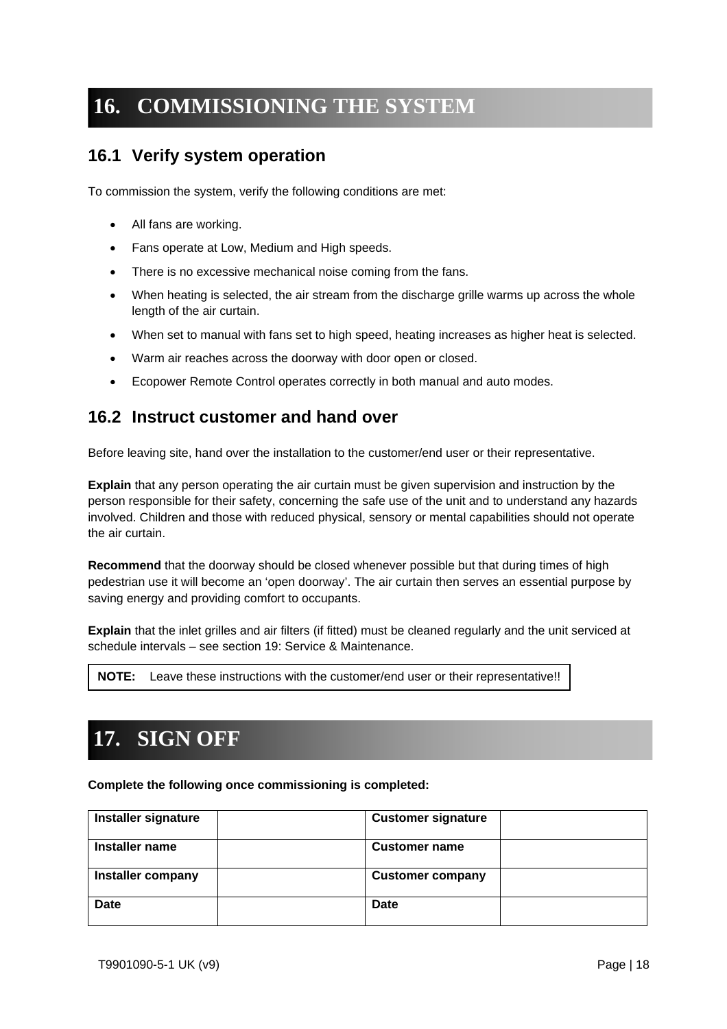## **16. COMMISSIONING THE SYSTEM**

### **16.1 Verify system operation**

To commission the system, verify the following conditions are met:

- All fans are working.
- Fans operate at Low, Medium and High speeds.
- There is no excessive mechanical noise coming from the fans.
- When heating is selected, the air stream from the discharge grille warms up across the whole length of the air curtain.
- When set to manual with fans set to high speed, heating increases as higher heat is selected.
- Warm air reaches across the doorway with door open or closed.
- Ecopower Remote Control operates correctly in both manual and auto modes.

### **16.2 Instruct customer and hand over**

Before leaving site, hand over the installation to the customer/end user or their representative.

**Explain** that any person operating the air curtain must be given supervision and instruction by the person responsible for their safety, concerning the safe use of the unit and to understand any hazards involved. Children and those with reduced physical, sensory or mental capabilities should not operate the air curtain.

**Recommend** that the doorway should be closed whenever possible but that during times of high pedestrian use it will become an 'open doorway'. The air curtain then serves an essential purpose by saving energy and providing comfort to occupants.

**Explain** that the inlet grilles and air filters (if fitted) must be cleaned regularly and the unit serviced at schedule intervals – see section 19: Service & Maintenance.

| <b>NOTE:</b> Leave these instructions with the customer/end user or their representative!! |
|--------------------------------------------------------------------------------------------|
|--------------------------------------------------------------------------------------------|

## **17. SIGN OFF**

**Complete the following once commissioning is completed:** 

| Installer signature | <b>Customer signature</b> |
|---------------------|---------------------------|
| Installer name      | <b>Customer name</b>      |
| Installer company   | <b>Customer company</b>   |
| <b>Date</b>         | Date                      |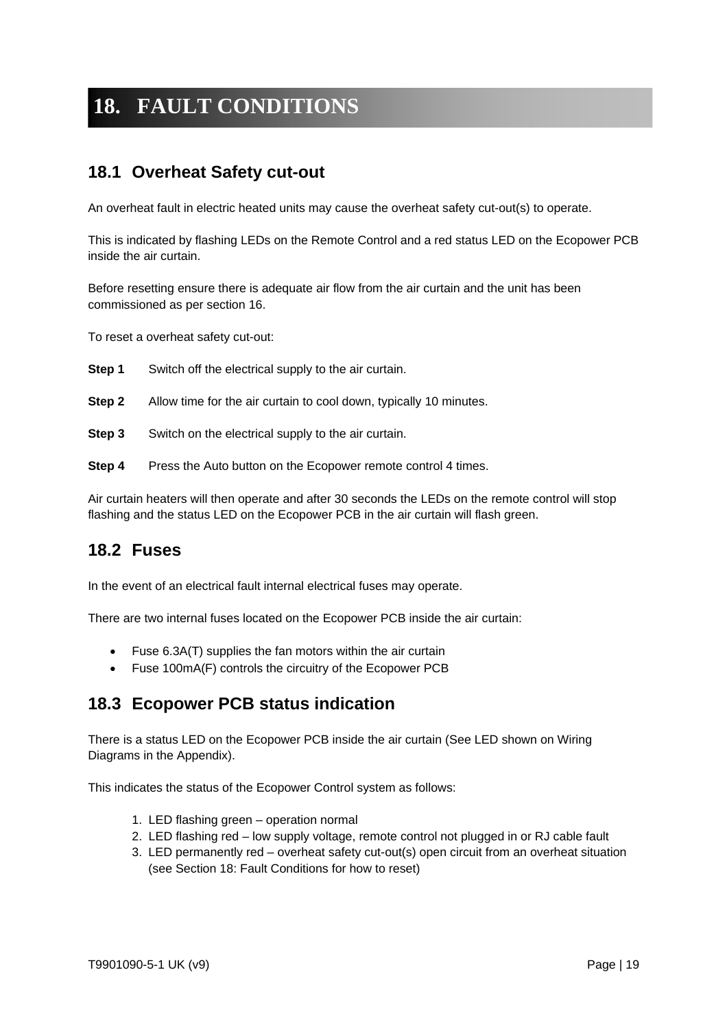# **18. FAULT CONDITIONS**

### **18.1 Overheat Safety cut-out**

An overheat fault in electric heated units may cause the overheat safety cut-out(s) to operate.

This is indicated by flashing LEDs on the Remote Control and a red status LED on the Ecopower PCB inside the air curtain.

Before resetting ensure there is adequate air flow from the air curtain and the unit has been commissioned as per section 16.

To reset a overheat safety cut-out:

- **Step 1** Switch off the electrical supply to the air curtain.
- **Step 2** Allow time for the air curtain to cool down, typically 10 minutes.
- **Step 3** Switch on the electrical supply to the air curtain.
- **Step 4** Press the Auto button on the Ecopower remote control 4 times.

Air curtain heaters will then operate and after 30 seconds the LEDs on the remote control will stop flashing and the status LED on the Ecopower PCB in the air curtain will flash green.

#### **18.2 Fuses**

In the event of an electrical fault internal electrical fuses may operate.

There are two internal fuses located on the Ecopower PCB inside the air curtain:

- Fuse 6.3A(T) supplies the fan motors within the air curtain
- Fuse 100mA(F) controls the circuitry of the Ecopower PCB

### **18.3 Ecopower PCB status indication**

There is a status LED on the Ecopower PCB inside the air curtain (See LED shown on Wiring Diagrams in the Appendix).

This indicates the status of the Ecopower Control system as follows:

- 1. LED flashing green operation normal
- 2. LED flashing red low supply voltage, remote control not plugged in or RJ cable fault
- 3. LED permanently red overheat safety cut-out(s) open circuit from an overheat situation (see Section 18: Fault Conditions for how to reset)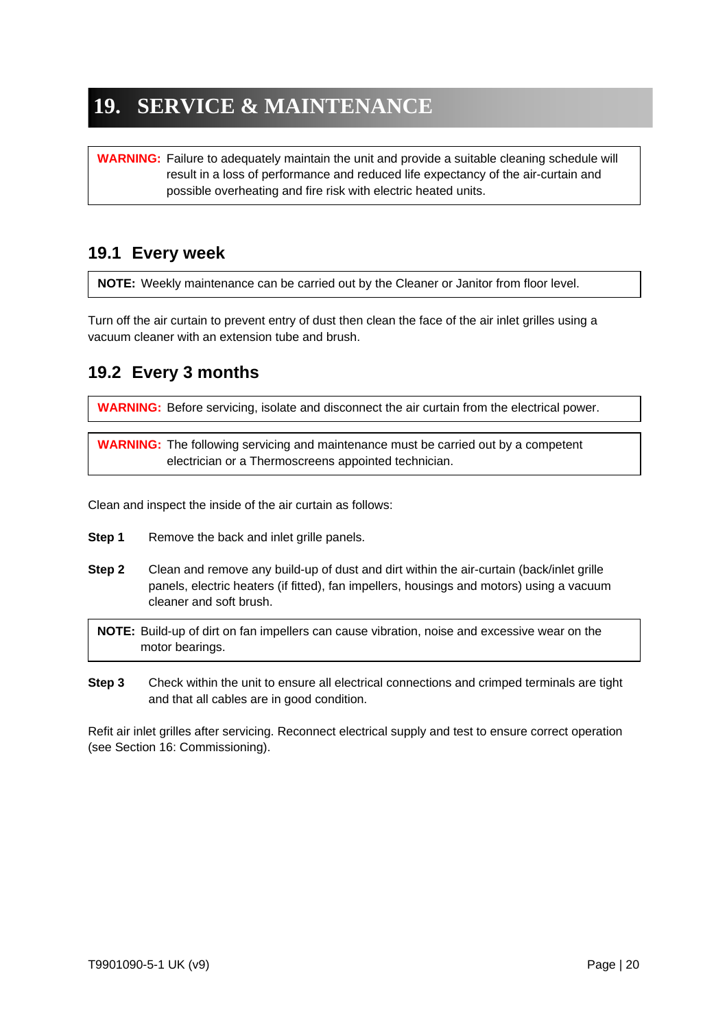## **19. SERVICE & MAINTENANCE**

**WARNING:** Failure to adequately maintain the unit and provide a suitable cleaning schedule will result in a loss of performance and reduced life expectancy of the air-curtain and possible overheating and fire risk with electric heated units.

### **19.1 Every week**

**NOTE:** Weekly maintenance can be carried out by the Cleaner or Janitor from floor level.

Turn off the air curtain to prevent entry of dust then clean the face of the air inlet grilles using a vacuum cleaner with an extension tube and brush.

### **19.2 Every 3 months**

**WARNING:** Before servicing, isolate and disconnect the air curtain from the electrical power.

**WARNING:** The following servicing and maintenance must be carried out by a competent electrician or a Thermoscreens appointed technician.

Clean and inspect the inside of the air curtain as follows:

- **Step 1** Remove the back and inlet grille panels.
- **Step 2** Clean and remove any build-up of dust and dirt within the air-curtain (back/inlet grille panels, electric heaters (if fitted), fan impellers, housings and motors) using a vacuum cleaner and soft brush.

**NOTE:** Build-up of dirt on fan impellers can cause vibration, noise and excessive wear on the motor bearings.

**Step 3** Check within the unit to ensure all electrical connections and crimped terminals are tight and that all cables are in good condition.

Refit air inlet grilles after servicing. Reconnect electrical supply and test to ensure correct operation (see Section 16: Commissioning).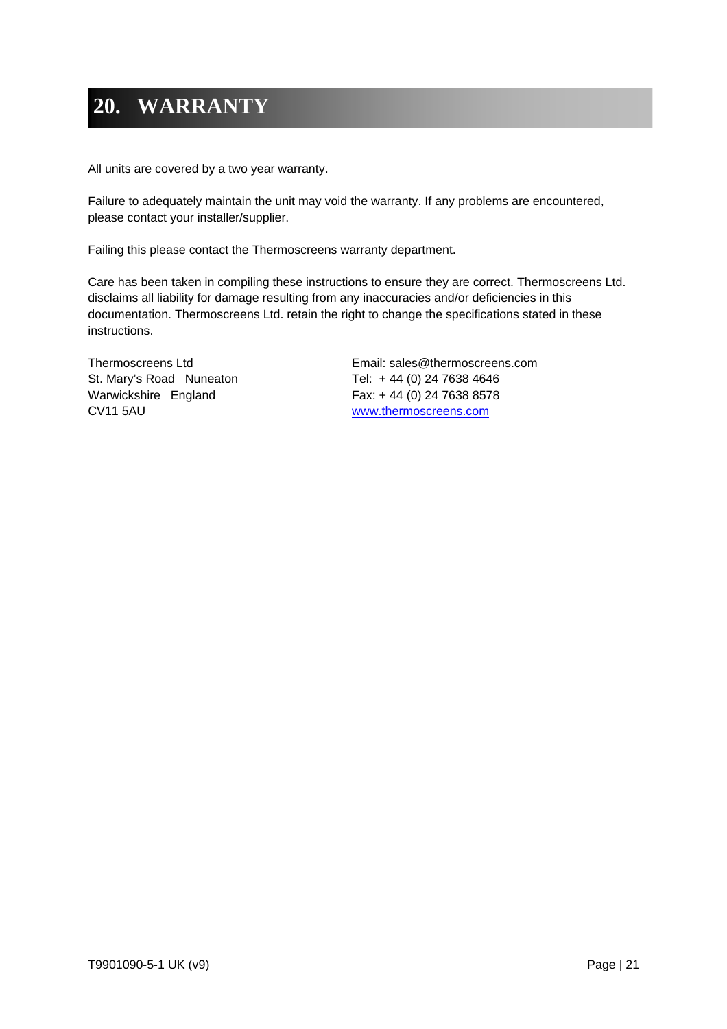## **20. WARRANTY**

All units are covered by a two year warranty.

Failure to adequately maintain the unit may void the warranty. If any problems are encountered, please contact your installer/supplier.

Failing this please contact the Thermoscreens warranty department.

Care has been taken in compiling these instructions to ensure they are correct. Thermoscreens Ltd. disclaims all liability for damage resulting from any inaccuracies and/or deficiencies in this documentation. Thermoscreens Ltd. retain the right to change the specifications stated in these instructions.

St. Mary's Road Nuneaton Tel: +44 (0) 24 7638 4646 Warwickshire England Fax: + 44 (0) 24 7638 8578 CV11 5AU www.thermoscreens.com

Thermoscreens Ltd Email: sales@thermoscreens.com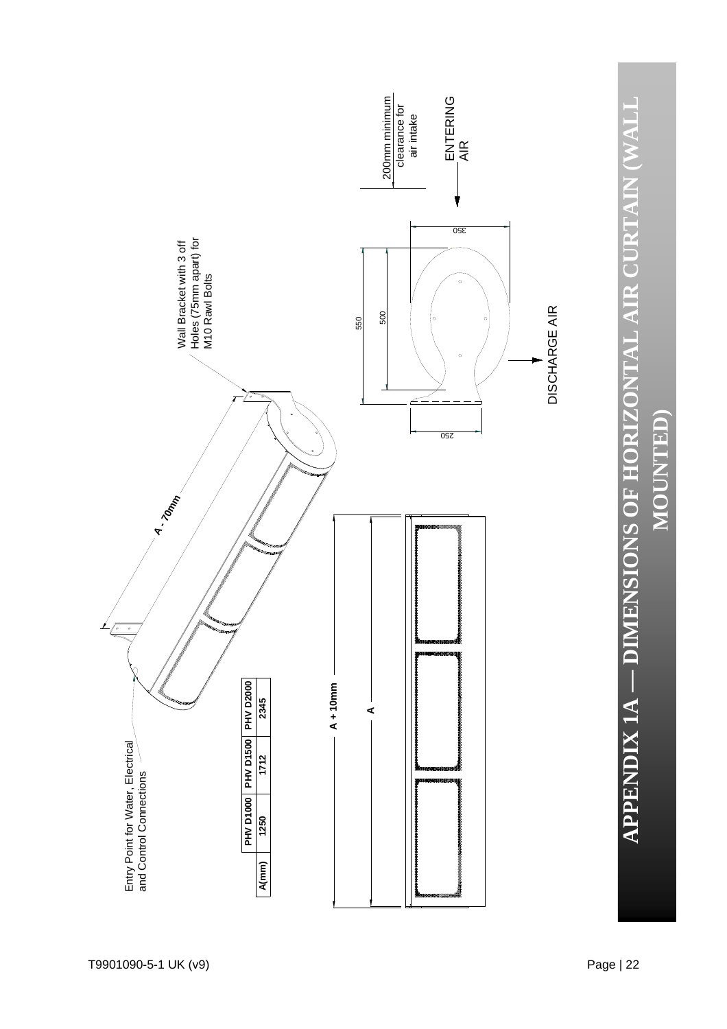

**APPENDIX 1A — DIMENSIONS OF HORIZONTAL AIR CURTAIN (WALL** 

**MOUNTED)** MOUNTED)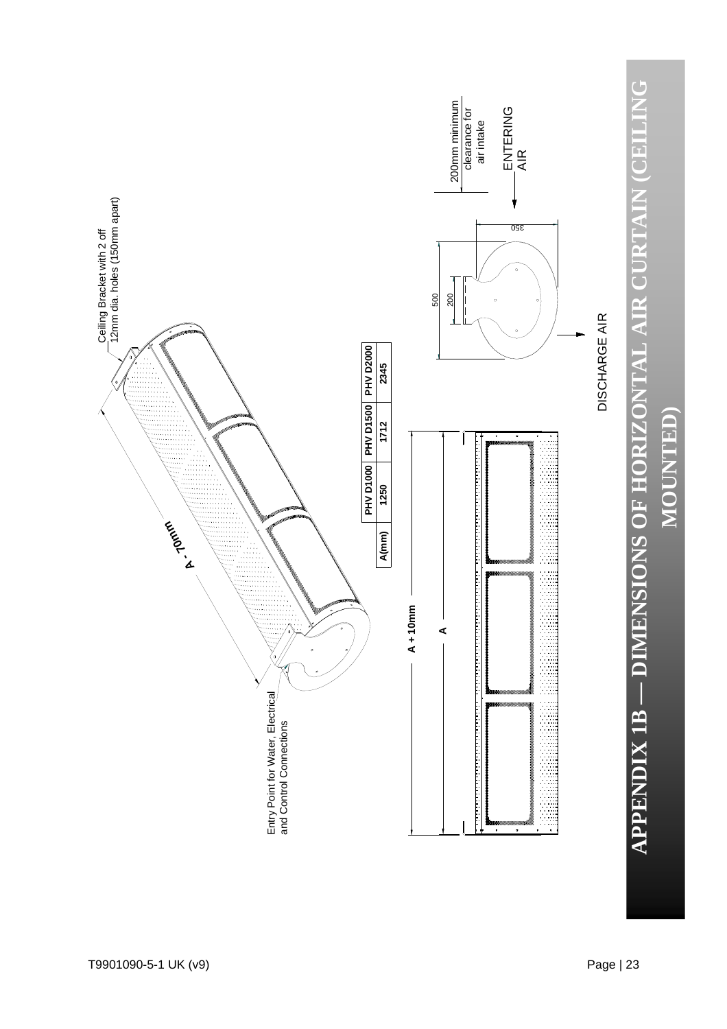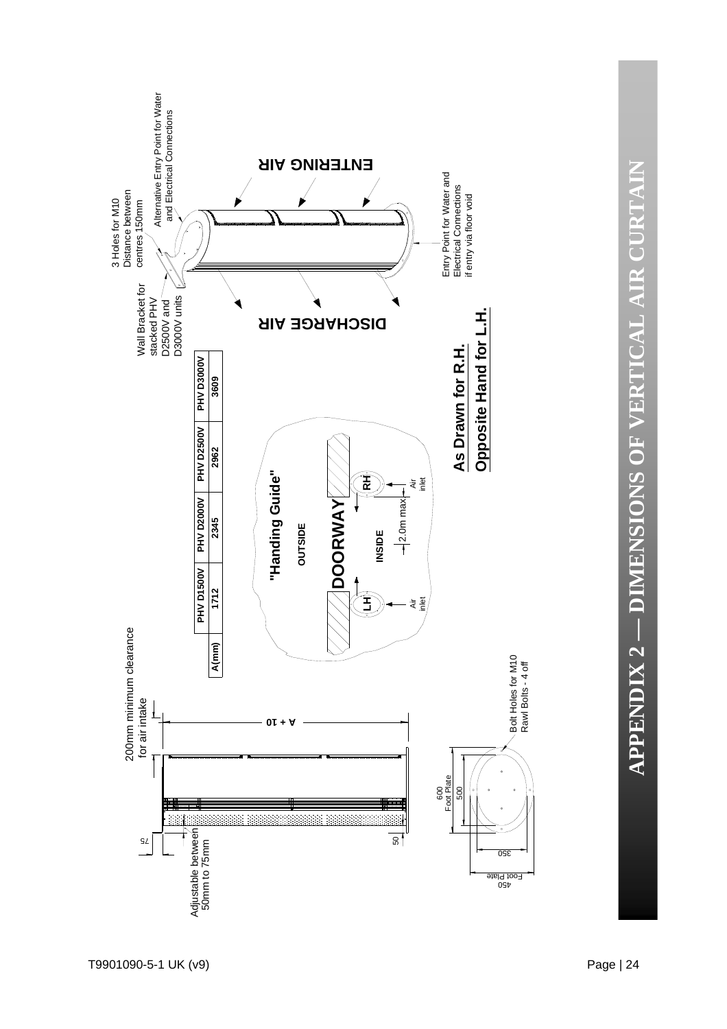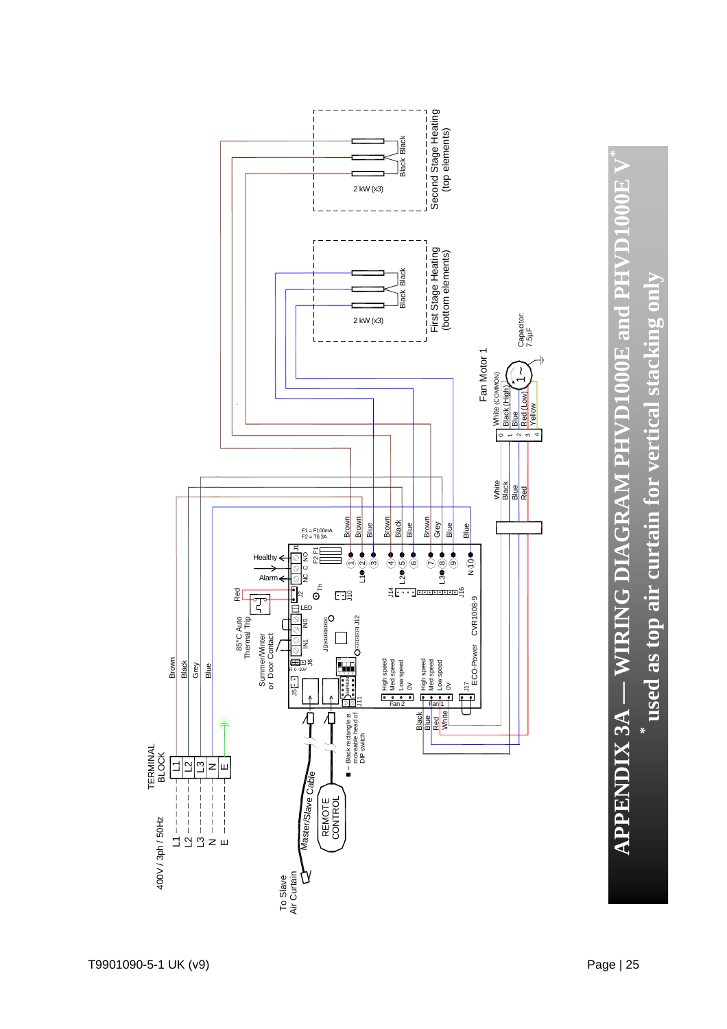

**APPENDIX 3A — WIRING DIAGRAM PHVD1000E and PHVD1000E V\***  APPENDIX 3A – WIRING DIAGRAM PHVD1000E and PHVD1000E V **\* used as top air curtain for vertical stacking only** used as top air curtain for vertical stacking only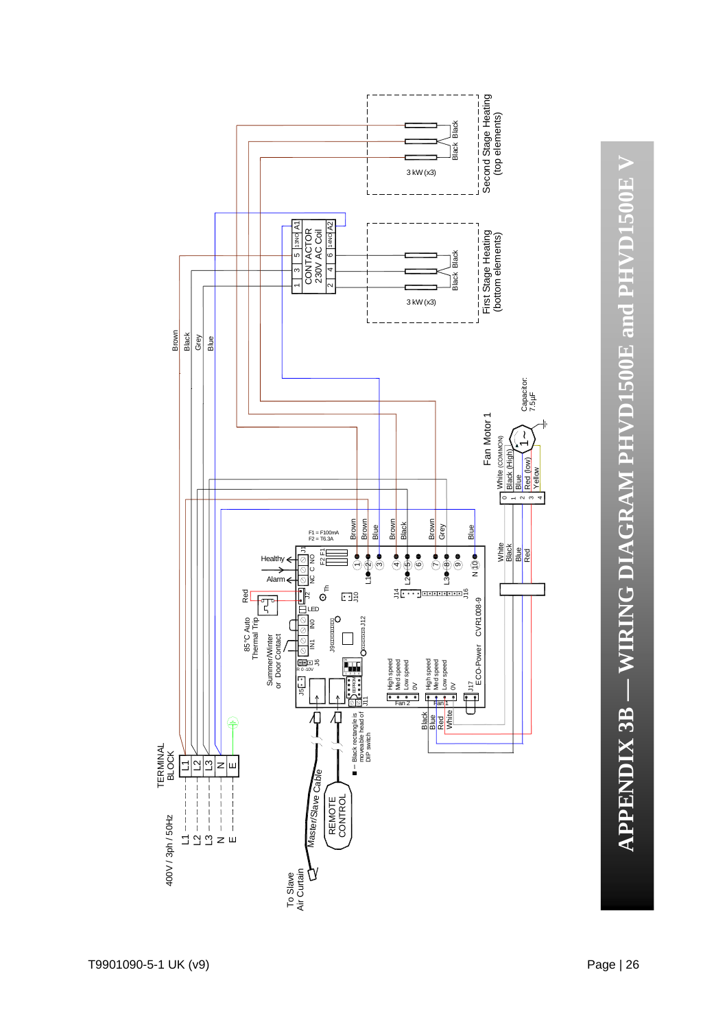**APPENDIX 3B — WIRING DIAGRAM PHVD1500E and PHVD1500E V** APPENDIX 3B – WIRING DIAGRAM PHVD1500E and PHVD1500E V

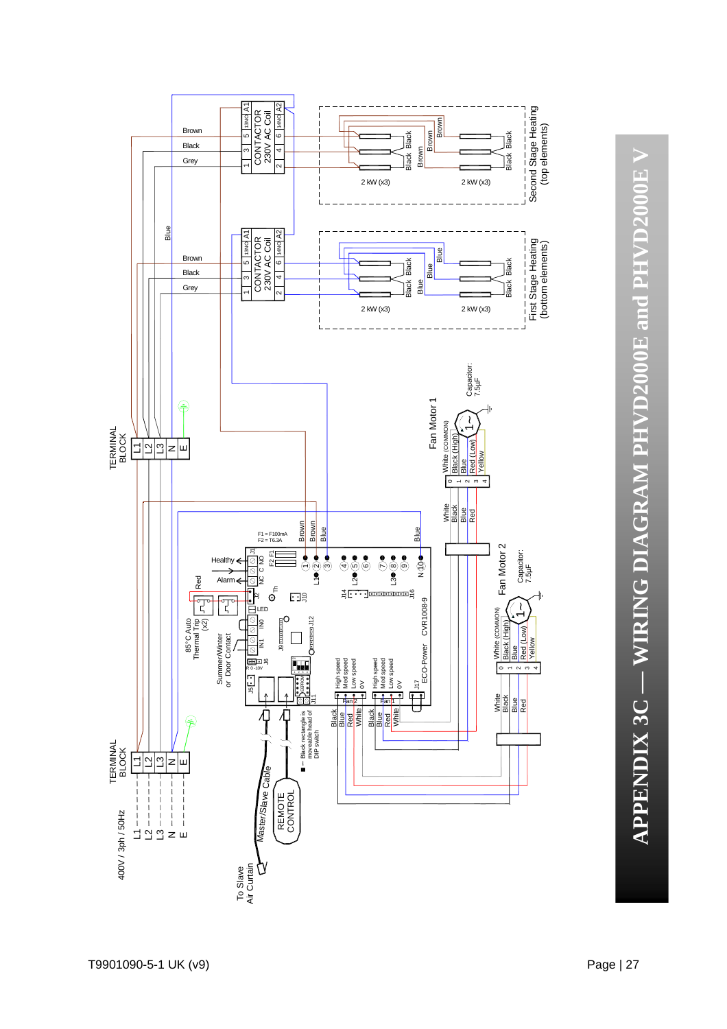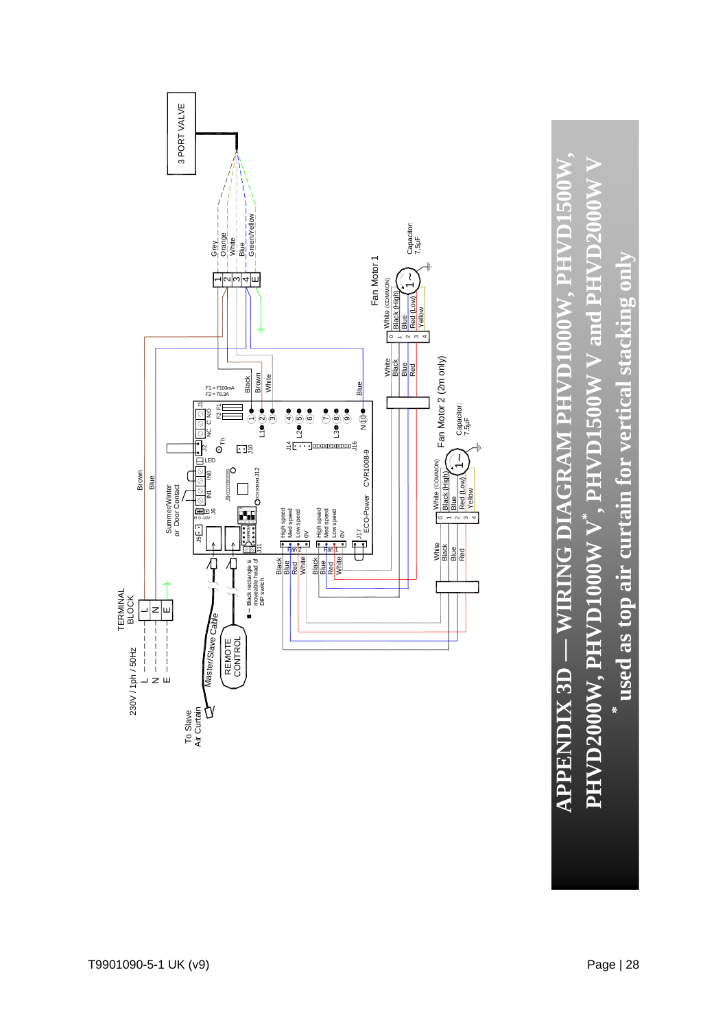

**\* used as top air curtain for vertical stacking only**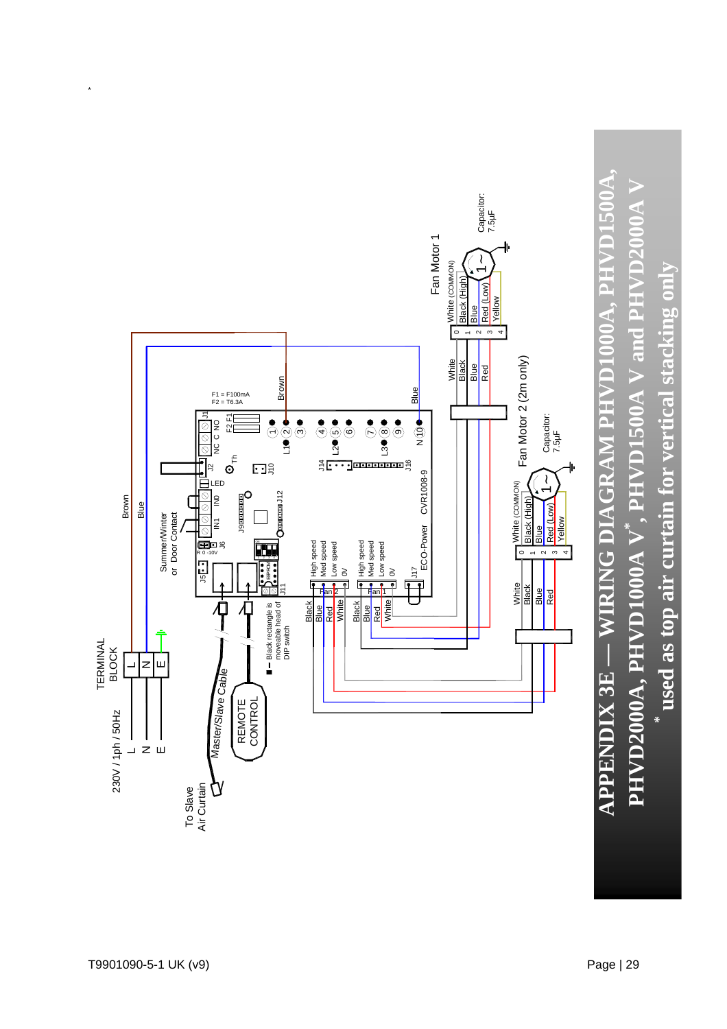

\*